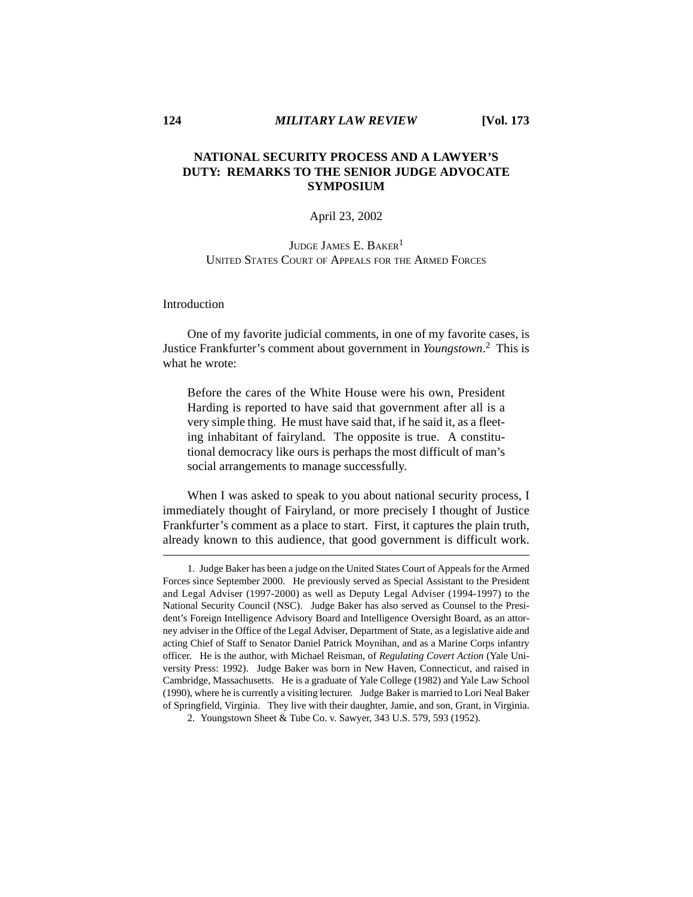# **NATIONAL SECURITY PROCESS AND A LAWYER'S DUTY: REMARKS TO THE SENIOR JUDGE ADVOCATE SYMPOSIUM**

# April 23, 2002

# JUDGE JAMES E. BAKER<sup>1</sup> UNITED STATES COURT OF APPEALS FOR THE ARMED FORCES

Introduction

One of my favorite judicial comments, in one of my favorite cases, is Justice Frankfurter's comment about government in *Youngstown*. 2 This is what he wrote:

Before the cares of the White House were his own, President Harding is reported to have said that government after all is a very simple thing. He must have said that, if he said it, as a fleeting inhabitant of fairyland. The opposite is true. A constitutional democracy like ours is perhaps the most difficult of man's social arrangements to manage successfully.

When I was asked to speak to you about national security process, I immediately thought of Fairyland, or more precisely I thought of Justice Frankfurter's comment as a place to start. First, it captures the plain truth, already known to this audience, that good government is difficult work.

<sup>1.</sup> Judge Baker has been a judge on the United States Court of Appeals for the Armed Forces since September 2000. He previously served as Special Assistant to the President and Legal Adviser (1997-2000) as well as Deputy Legal Adviser (1994-1997) to the National Security Council (NSC). Judge Baker has also served as Counsel to the President's Foreign Intelligence Advisory Board and Intelligence Oversight Board, as an attorney adviser in the Office of the Legal Adviser, Department of State, as a legislative aide and acting Chief of Staff to Senator Daniel Patrick Moynihan, and as a Marine Corps infantry officer. He is the author, with Michael Reisman, of *Regulating Covert Action* (Yale University Press: 1992). Judge Baker was born in New Haven, Connecticut, and raised in Cambridge, Massachusetts. He is a graduate of Yale College (1982) and Yale Law School (1990), where he is currently a visiting lecturer. Judge Baker is married to Lori Neal Baker of Springfield, Virginia. They live with their daughter, Jamie, and son, Grant, in Virginia.

<sup>2.</sup> Youngstown Sheet & Tube Co. v. Sawyer, 343 U.S. 579, 593 (1952).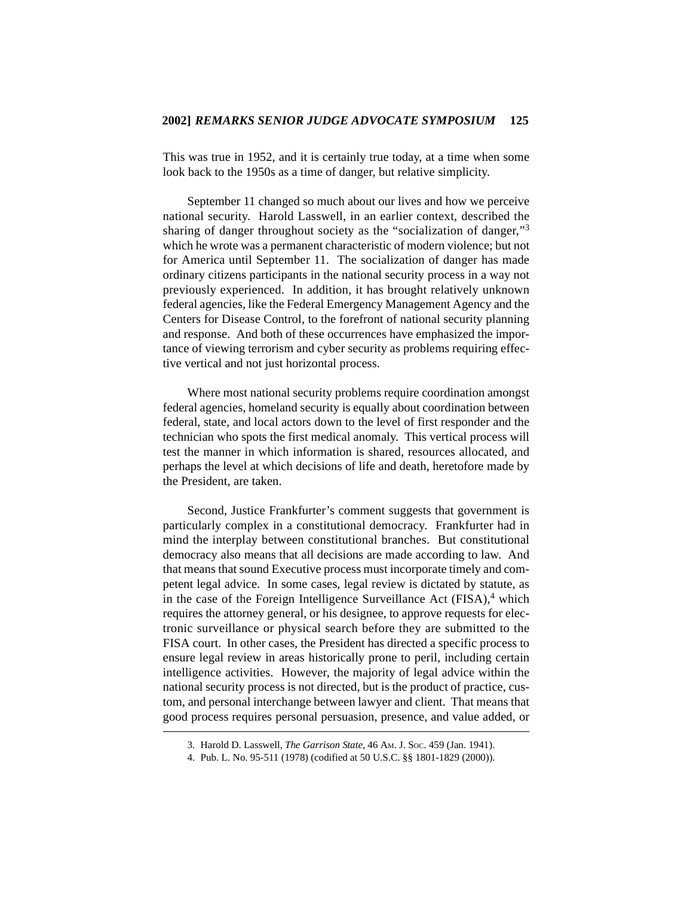This was true in 1952, and it is certainly true today, at a time when some look back to the 1950s as a time of danger, but relative simplicity.

September 11 changed so much about our lives and how we perceive national security. Harold Lasswell, in an earlier context, described the sharing of danger throughout society as the "socialization of danger,"<sup>3</sup> which he wrote was a permanent characteristic of modern violence; but not for America until September 11. The socialization of danger has made ordinary citizens participants in the national security process in a way not previously experienced. In addition, it has brought relatively unknown federal agencies, like the Federal Emergency Management Agency and the Centers for Disease Control, to the forefront of national security planning and response. And both of these occurrences have emphasized the importance of viewing terrorism and cyber security as problems requiring effective vertical and not just horizontal process.

Where most national security problems require coordination amongst federal agencies, homeland security is equally about coordination between federal, state, and local actors down to the level of first responder and the technician who spots the first medical anomaly. This vertical process will test the manner in which information is shared, resources allocated, and perhaps the level at which decisions of life and death, heretofore made by the President, are taken.

Second, Justice Frankfurter's comment suggests that government is particularly complex in a constitutional democracy. Frankfurter had in mind the interplay between constitutional branches. But constitutional democracy also means that all decisions are made according to law. And that means that sound Executive process must incorporate timely and competent legal advice. In some cases, legal review is dictated by statute, as in the case of the Foreign Intelligence Surveillance Act  $(FISA)$ ,<sup>4</sup> which requires the attorney general, or his designee, to approve requests for electronic surveillance or physical search before they are submitted to the FISA court. In other cases, the President has directed a specific process to ensure legal review in areas historically prone to peril, including certain intelligence activities. However, the majority of legal advice within the national security process is not directed, but is the product of practice, custom, and personal interchange between lawyer and client. That means that good process requires personal persuasion, presence, and value added, or

<sup>3.</sup> Harold D. Lasswell, *The Garrison State*, 46 AM. J. SOC. 459 (Jan. 1941).

<sup>4.</sup> Pub. L. No. 95-511 (1978) (codified at 50 U.S.C. §§ 1801-1829 (2000)).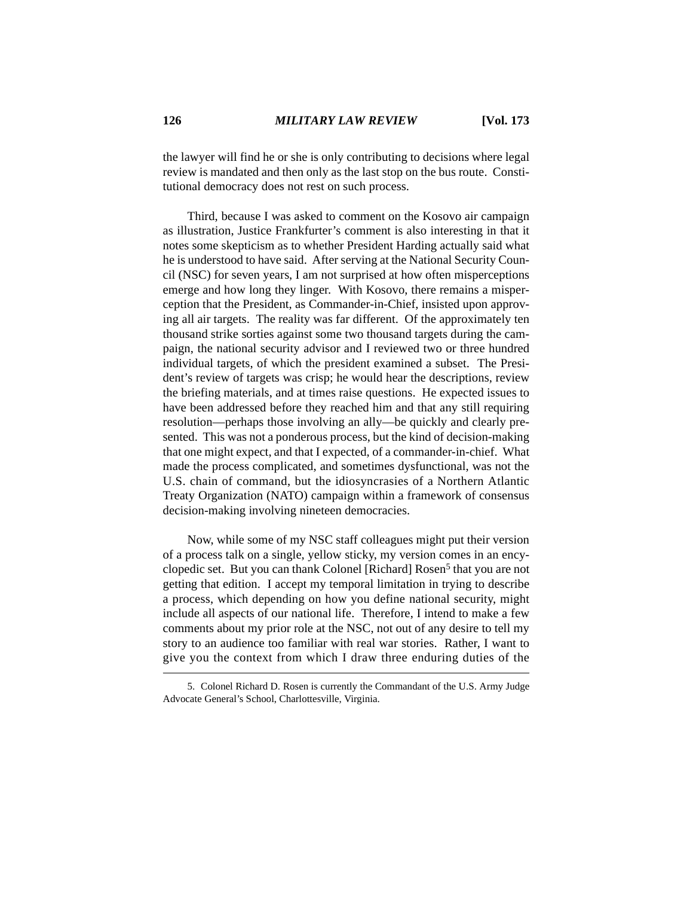the lawyer will find he or she is only contributing to decisions where legal review is mandated and then only as the last stop on the bus route. Constitutional democracy does not rest on such process.

Third, because I was asked to comment on the Kosovo air campaign as illustration, Justice Frankfurter's comment is also interesting in that it notes some skepticism as to whether President Harding actually said what he is understood to have said. After serving at the National Security Council (NSC) for seven years, I am not surprised at how often misperceptions emerge and how long they linger. With Kosovo, there remains a misperception that the President, as Commander-in-Chief, insisted upon approving all air targets. The reality was far different. Of the approximately ten thousand strike sorties against some two thousand targets during the campaign, the national security advisor and I reviewed two or three hundred individual targets, of which the president examined a subset. The President's review of targets was crisp; he would hear the descriptions, review the briefing materials, and at times raise questions. He expected issues to have been addressed before they reached him and that any still requiring resolution—perhaps those involving an ally—be quickly and clearly presented. This was not a ponderous process, but the kind of decision-making that one might expect, and that I expected, of a commander-in-chief. What made the process complicated, and sometimes dysfunctional, was not the U.S. chain of command, but the idiosyncrasies of a Northern Atlantic Treaty Organization (NATO) campaign within a framework of consensus decision-making involving nineteen democracies.

Now, while some of my NSC staff colleagues might put their version of a process talk on a single, yellow sticky, my version comes in an encyclopedic set. But you can thank Colonel [Richard] Rosen<sup>5</sup> that you are not getting that edition. I accept my temporal limitation in trying to describe a process, which depending on how you define national security, might include all aspects of our national life. Therefore, I intend to make a few comments about my prior role at the NSC, not out of any desire to tell my story to an audience too familiar with real war stories. Rather, I want to give you the context from which I draw three enduring duties of the

<sup>5.</sup> Colonel Richard D. Rosen is currently the Commandant of the U.S. Army Judge Advocate General's School, Charlottesville, Virginia.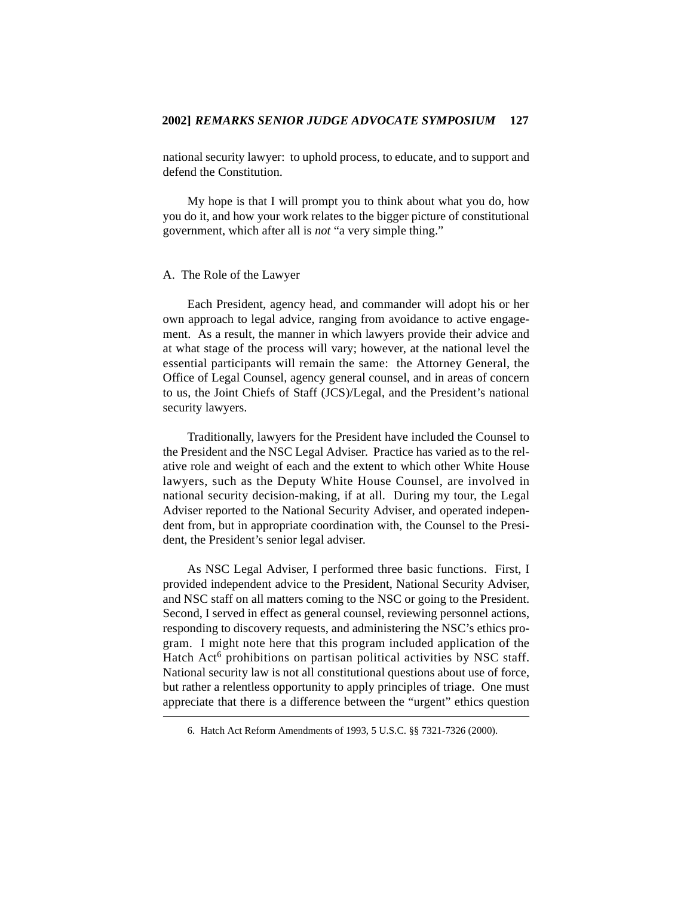national security lawyer: to uphold process, to educate, and to support and defend the Constitution.

My hope is that I will prompt you to think about what you do, how you do it, and how your work relates to the bigger picture of constitutional government, which after all is *not* "a very simple thing."

#### A. The Role of the Lawyer

Each President, agency head, and commander will adopt his or her own approach to legal advice, ranging from avoidance to active engagement. As a result, the manner in which lawyers provide their advice and at what stage of the process will vary; however, at the national level the essential participants will remain the same: the Attorney General, the Office of Legal Counsel, agency general counsel, and in areas of concern to us, the Joint Chiefs of Staff (JCS)/Legal, and the President's national security lawyers.

Traditionally, lawyers for the President have included the Counsel to the President and the NSC Legal Adviser. Practice has varied as to the relative role and weight of each and the extent to which other White House lawyers, such as the Deputy White House Counsel, are involved in national security decision-making, if at all. During my tour, the Legal Adviser reported to the National Security Adviser, and operated independent from, but in appropriate coordination with, the Counsel to the President, the President's senior legal adviser.

As NSC Legal Adviser, I performed three basic functions. First, I provided independent advice to the President, National Security Adviser, and NSC staff on all matters coming to the NSC or going to the President. Second, I served in effect as general counsel, reviewing personnel actions, responding to discovery requests, and administering the NSC's ethics program. I might note here that this program included application of the Hatch  $Act<sup>6</sup>$  prohibitions on partisan political activities by NSC staff. National security law is not all constitutional questions about use of force, but rather a relentless opportunity to apply principles of triage. One must appreciate that there is a difference between the "urgent" ethics question

<sup>6.</sup> Hatch Act Reform Amendments of 1993, 5 U.S.C. §§ 7321-7326 (2000).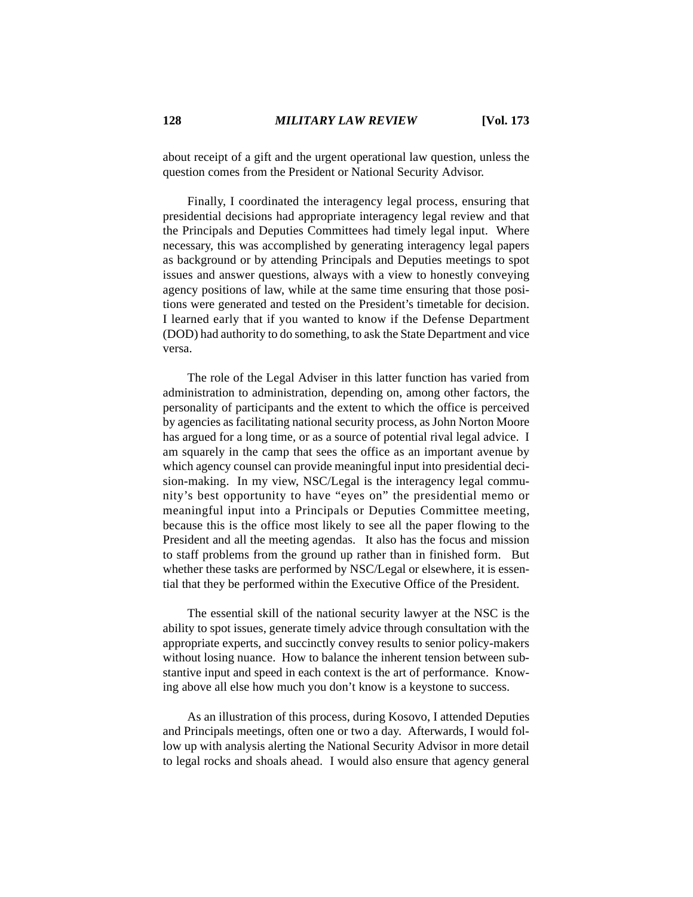about receipt of a gift and the urgent operational law question, unless the question comes from the President or National Security Advisor.

Finally, I coordinated the interagency legal process, ensuring that presidential decisions had appropriate interagency legal review and that the Principals and Deputies Committees had timely legal input. Where necessary, this was accomplished by generating interagency legal papers as background or by attending Principals and Deputies meetings to spot issues and answer questions, always with a view to honestly conveying agency positions of law, while at the same time ensuring that those positions were generated and tested on the President's timetable for decision. I learned early that if you wanted to know if the Defense Department (DOD) had authority to do something, to ask the State Department and vice versa.

The role of the Legal Adviser in this latter function has varied from administration to administration, depending on, among other factors, the personality of participants and the extent to which the office is perceived by agencies as facilitating national security process, as John Norton Moore has argued for a long time, or as a source of potential rival legal advice. I am squarely in the camp that sees the office as an important avenue by which agency counsel can provide meaningful input into presidential decision-making. In my view, NSC/Legal is the interagency legal community's best opportunity to have "eyes on" the presidential memo or meaningful input into a Principals or Deputies Committee meeting, because this is the office most likely to see all the paper flowing to the President and all the meeting agendas. It also has the focus and mission to staff problems from the ground up rather than in finished form. But whether these tasks are performed by NSC/Legal or elsewhere, it is essential that they be performed within the Executive Office of the President.

The essential skill of the national security lawyer at the NSC is the ability to spot issues, generate timely advice through consultation with the appropriate experts, and succinctly convey results to senior policy-makers without losing nuance. How to balance the inherent tension between substantive input and speed in each context is the art of performance. Knowing above all else how much you don't know is a keystone to success.

As an illustration of this process, during Kosovo, I attended Deputies and Principals meetings, often one or two a day. Afterwards, I would follow up with analysis alerting the National Security Advisor in more detail to legal rocks and shoals ahead. I would also ensure that agency general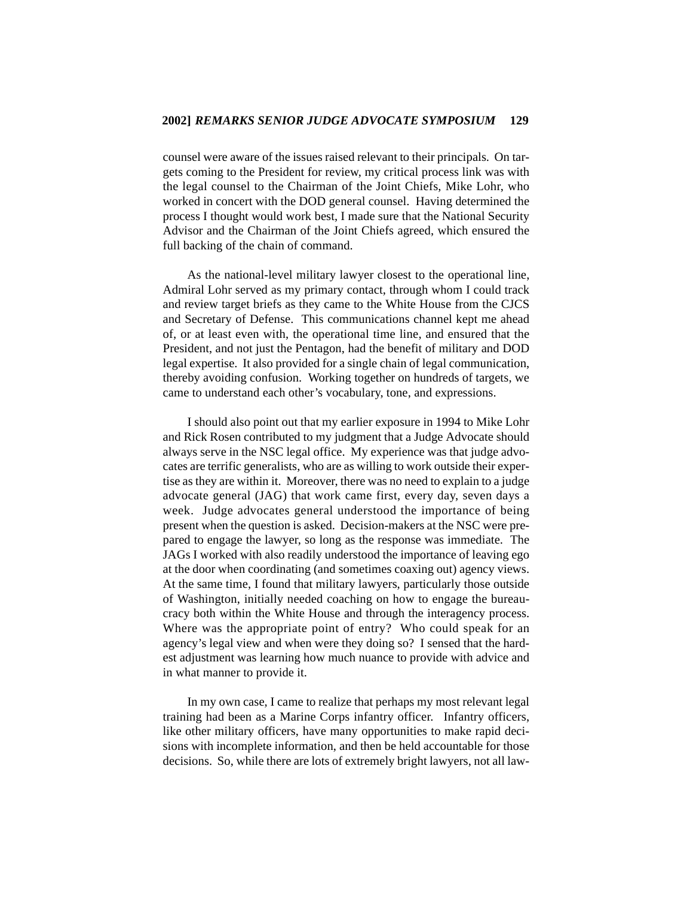counsel were aware of the issues raised relevant to their principals. On targets coming to the President for review, my critical process link was with the legal counsel to the Chairman of the Joint Chiefs, Mike Lohr, who worked in concert with the DOD general counsel. Having determined the process I thought would work best, I made sure that the National Security Advisor and the Chairman of the Joint Chiefs agreed, which ensured the full backing of the chain of command.

As the national-level military lawyer closest to the operational line, Admiral Lohr served as my primary contact, through whom I could track and review target briefs as they came to the White House from the CJCS and Secretary of Defense. This communications channel kept me ahead of, or at least even with, the operational time line, and ensured that the President, and not just the Pentagon, had the benefit of military and DOD legal expertise. It also provided for a single chain of legal communication, thereby avoiding confusion. Working together on hundreds of targets, we came to understand each other's vocabulary, tone, and expressions.

I should also point out that my earlier exposure in 1994 to Mike Lohr and Rick Rosen contributed to my judgment that a Judge Advocate should always serve in the NSC legal office. My experience was that judge advocates are terrific generalists, who are as willing to work outside their expertise as they are within it. Moreover, there was no need to explain to a judge advocate general (JAG) that work came first, every day, seven days a week. Judge advocates general understood the importance of being present when the question is asked. Decision-makers at the NSC were prepared to engage the lawyer, so long as the response was immediate. The JAGs I worked with also readily understood the importance of leaving ego at the door when coordinating (and sometimes coaxing out) agency views. At the same time, I found that military lawyers, particularly those outside of Washington, initially needed coaching on how to engage the bureaucracy both within the White House and through the interagency process. Where was the appropriate point of entry? Who could speak for an agency's legal view and when were they doing so? I sensed that the hardest adjustment was learning how much nuance to provide with advice and in what manner to provide it.

In my own case, I came to realize that perhaps my most relevant legal training had been as a Marine Corps infantry officer. Infantry officers, like other military officers, have many opportunities to make rapid decisions with incomplete information, and then be held accountable for those decisions. So, while there are lots of extremely bright lawyers, not all law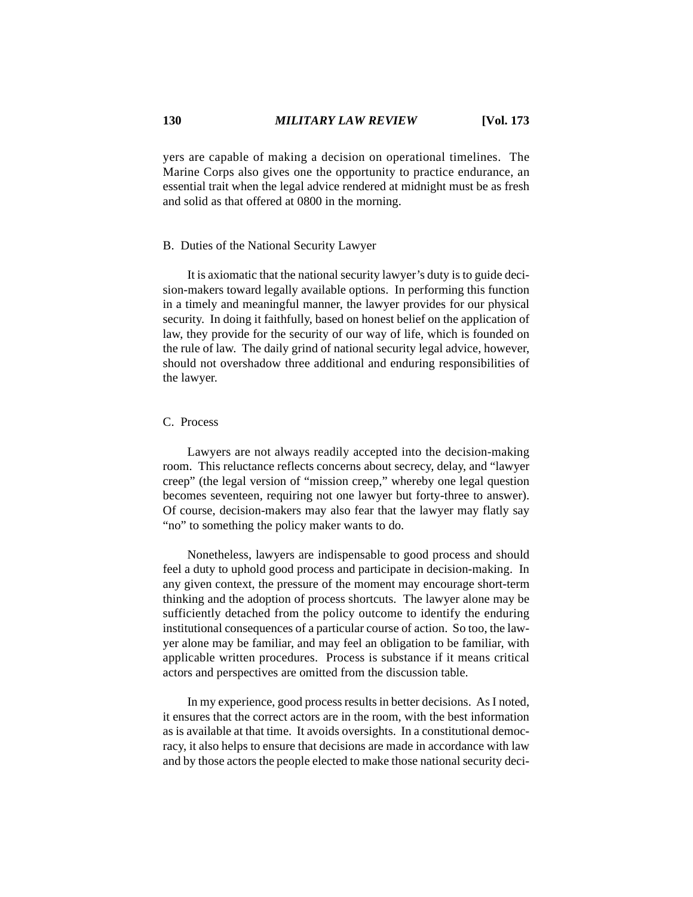yers are capable of making a decision on operational timelines. The Marine Corps also gives one the opportunity to practice endurance, an essential trait when the legal advice rendered at midnight must be as fresh and solid as that offered at 0800 in the morning.

#### B. Duties of the National Security Lawyer

It is axiomatic that the national security lawyer's duty is to guide decision-makers toward legally available options. In performing this function in a timely and meaningful manner, the lawyer provides for our physical security. In doing it faithfully, based on honest belief on the application of law, they provide for the security of our way of life, which is founded on the rule of law. The daily grind of national security legal advice, however, should not overshadow three additional and enduring responsibilities of the lawyer.

## C. Process

Lawyers are not always readily accepted into the decision-making room. This reluctance reflects concerns about secrecy, delay, and "lawyer creep" (the legal version of "mission creep," whereby one legal question becomes seventeen, requiring not one lawyer but forty-three to answer). Of course, decision-makers may also fear that the lawyer may flatly say "no" to something the policy maker wants to do.

Nonetheless, lawyers are indispensable to good process and should feel a duty to uphold good process and participate in decision-making. In any given context, the pressure of the moment may encourage short-term thinking and the adoption of process shortcuts. The lawyer alone may be sufficiently detached from the policy outcome to identify the enduring institutional consequences of a particular course of action. So too, the lawyer alone may be familiar, and may feel an obligation to be familiar, with applicable written procedures. Process is substance if it means critical actors and perspectives are omitted from the discussion table.

In my experience, good process results in better decisions. As I noted, it ensures that the correct actors are in the room, with the best information as is available at that time. It avoids oversights. In a constitutional democracy, it also helps to ensure that decisions are made in accordance with law and by those actors the people elected to make those national security deci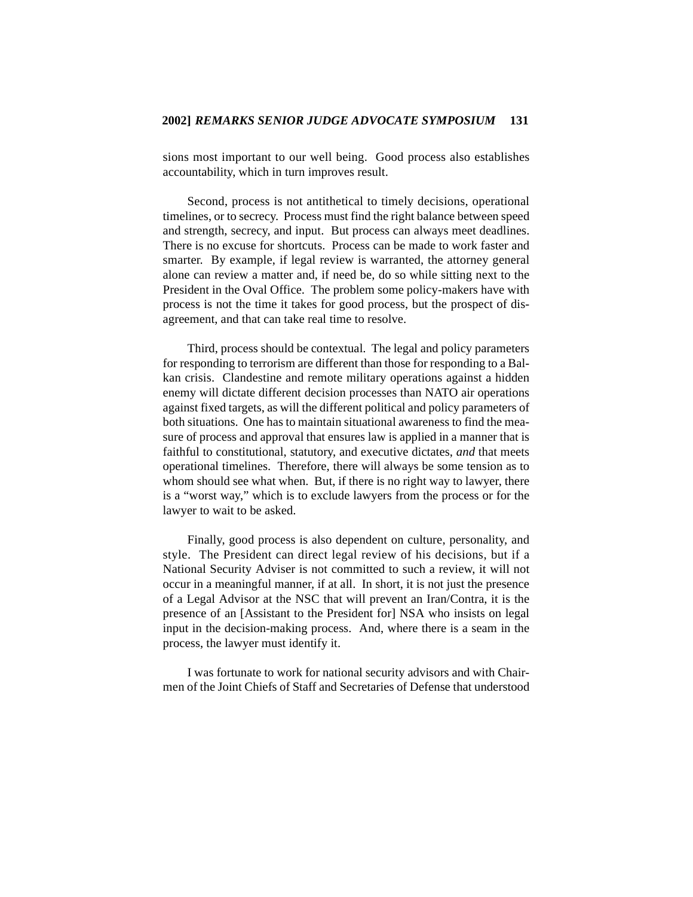sions most important to our well being. Good process also establishes accountability, which in turn improves result.

Second, process is not antithetical to timely decisions, operational timelines, or to secrecy. Process must find the right balance between speed and strength, secrecy, and input. But process can always meet deadlines. There is no excuse for shortcuts. Process can be made to work faster and smarter. By example, if legal review is warranted, the attorney general alone can review a matter and, if need be, do so while sitting next to the President in the Oval Office. The problem some policy-makers have with process is not the time it takes for good process, but the prospect of disagreement, and that can take real time to resolve.

Third, process should be contextual. The legal and policy parameters for responding to terrorism are different than those for responding to a Balkan crisis. Clandestine and remote military operations against a hidden enemy will dictate different decision processes than NATO air operations against fixed targets, as will the different political and policy parameters of both situations. One has to maintain situational awareness to find the measure of process and approval that ensures law is applied in a manner that is faithful to constitutional, statutory, and executive dictates, *and* that meets operational timelines. Therefore, there will always be some tension as to whom should see what when. But, if there is no right way to lawyer, there is a "worst way," which is to exclude lawyers from the process or for the lawyer to wait to be asked.

Finally, good process is also dependent on culture, personality, and style. The President can direct legal review of his decisions, but if a National Security Adviser is not committed to such a review, it will not occur in a meaningful manner, if at all. In short, it is not just the presence of a Legal Advisor at the NSC that will prevent an Iran/Contra, it is the presence of an [Assistant to the President for] NSA who insists on legal input in the decision-making process. And, where there is a seam in the process, the lawyer must identify it.

I was fortunate to work for national security advisors and with Chairmen of the Joint Chiefs of Staff and Secretaries of Defense that understood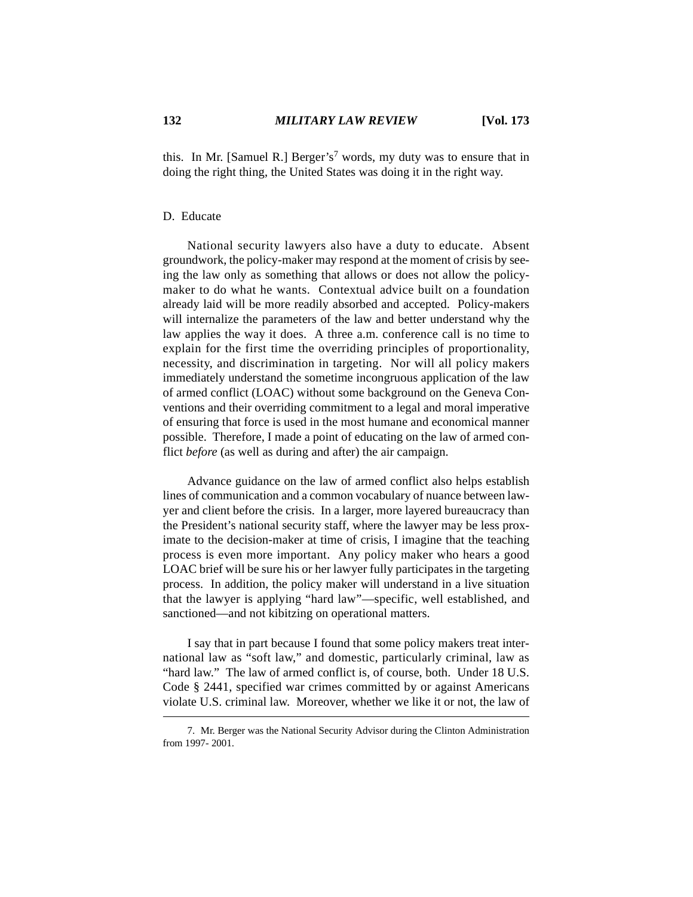this. In Mr. [Samuel R.] Berger's<sup>7</sup> words, my duty was to ensure that in doing the right thing, the United States was doing it in the right way.

### D. Educate

National security lawyers also have a duty to educate. Absent groundwork, the policy-maker may respond at the moment of crisis by seeing the law only as something that allows or does not allow the policymaker to do what he wants. Contextual advice built on a foundation already laid will be more readily absorbed and accepted. Policy-makers will internalize the parameters of the law and better understand why the law applies the way it does. A three a.m. conference call is no time to explain for the first time the overriding principles of proportionality, necessity, and discrimination in targeting. Nor will all policy makers immediately understand the sometime incongruous application of the law of armed conflict (LOAC) without some background on the Geneva Conventions and their overriding commitment to a legal and moral imperative of ensuring that force is used in the most humane and economical manner possible. Therefore, I made a point of educating on the law of armed conflict *before* (as well as during and after) the air campaign.

Advance guidance on the law of armed conflict also helps establish lines of communication and a common vocabulary of nuance between lawyer and client before the crisis. In a larger, more layered bureaucracy than the President's national security staff, where the lawyer may be less proximate to the decision-maker at time of crisis, I imagine that the teaching process is even more important. Any policy maker who hears a good LOAC brief will be sure his or her lawyer fully participates in the targeting process. In addition, the policy maker will understand in a live situation that the lawyer is applying "hard law"—specific, well established, and sanctioned—and not kibitzing on operational matters.

I say that in part because I found that some policy makers treat international law as "soft law," and domestic, particularly criminal, law as "hard law." The law of armed conflict is, of course, both. Under 18 U.S. Code § 2441, specified war crimes committed by or against Americans violate U.S. criminal law. Moreover, whether we like it or not, the law of

<sup>7.</sup> Mr. Berger was the National Security Advisor during the Clinton Administration from 1997- 2001.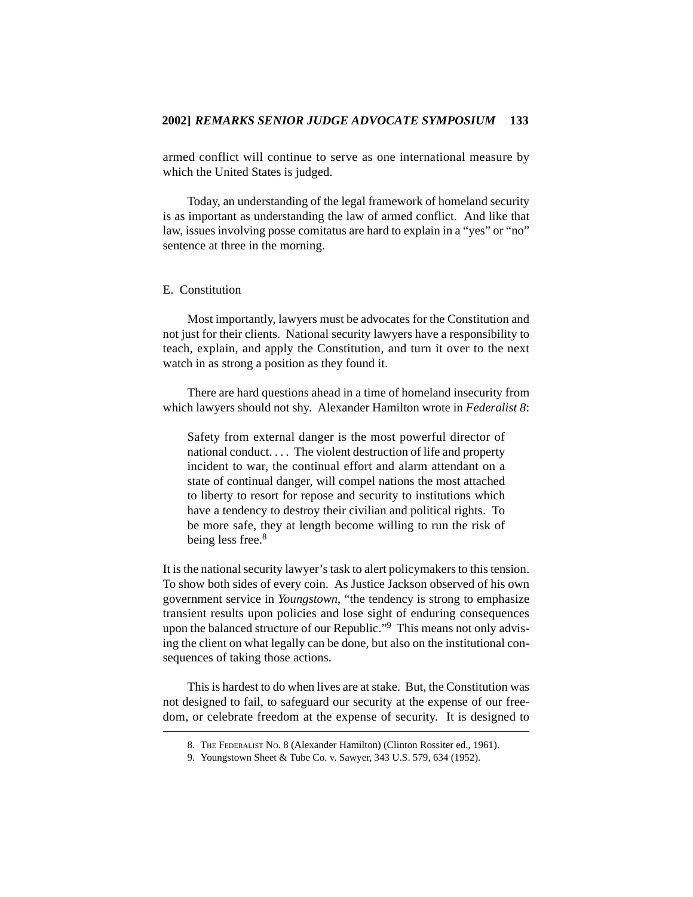armed conflict will continue to serve as one international measure by which the United States is judged.

Today, an understanding of the legal framework of homeland security is as important as understanding the law of armed conflict. And like that law, issues involving posse comitatus are hard to explain in a "yes" or "no" sentence at three in the morning.

### E. Constitution

Most importantly, lawyers must be advocates for the Constitution and not just for their clients. National security lawyers have a responsibility to teach, explain, and apply the Constitution, and turn it over to the next watch in as strong a position as they found it.

There are hard questions ahead in a time of homeland insecurity from which lawyers should not shy. Alexander Hamilton wrote in *Federalist 8*:

Safety from external danger is the most powerful director of national conduct. . . . The violent destruction of life and property incident to war, the continual effort and alarm attendant on a state of continual danger, will compel nations the most attached to liberty to resort for repose and security to institutions which have a tendency to destroy their civilian and political rights. To be more safe, they at length become willing to run the risk of being less free.<sup>8</sup>

It is the national security lawyer's task to alert policymakers to this tension. To show both sides of every coin. As Justice Jackson observed of his own government service in *Youngstown*, "the tendency is strong to emphasize transient results upon policies and lose sight of enduring consequences upon the balanced structure of our Republic."<sup>9</sup> This means not only advising the client on what legally can be done, but also on the institutional consequences of taking those actions.

This is hardest to do when lives are at stake. But, the Constitution was not designed to fail, to safeguard our security at the expense of our freedom, or celebrate freedom at the expense of security. It is designed to

<sup>8.</sup> THE FEDERALIST No. 8 (Alexander Hamilton) (Clinton Rossiter ed., 1961).

<sup>9.</sup> Youngstown Sheet & Tube Co. v. Sawyer, 343 U.S. 579, 634 (1952).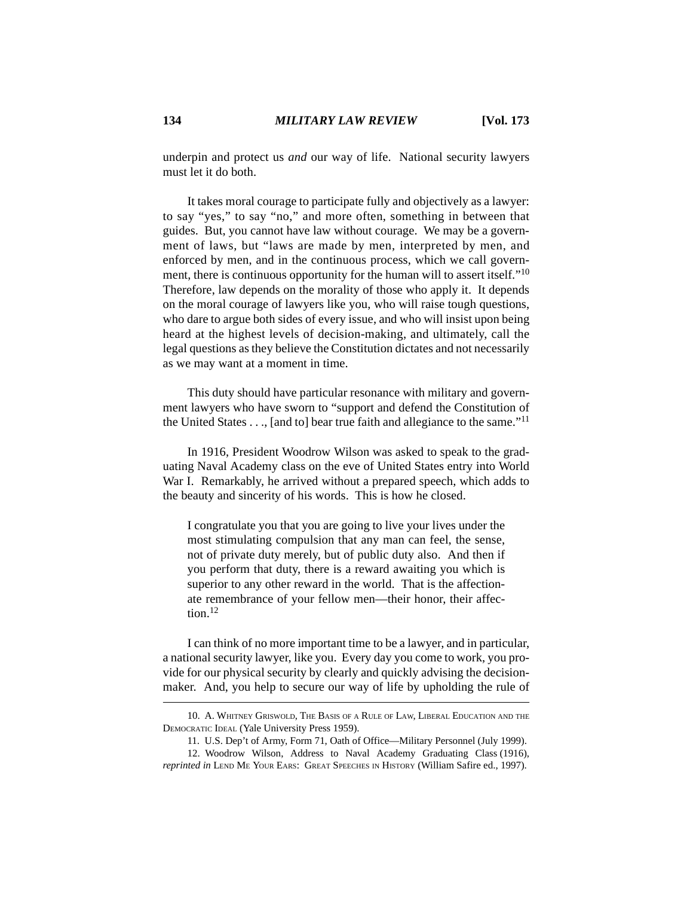underpin and protect us *and* our way of life. National security lawyers must let it do both.

It takes moral courage to participate fully and objectively as a lawyer: to say "yes," to say "no," and more often, something in between that guides. But, you cannot have law without courage. We may be a government of laws, but "laws are made by men, interpreted by men, and enforced by men, and in the continuous process, which we call government, there is continuous opportunity for the human will to assert itself."<sup>10</sup> Therefore, law depends on the morality of those who apply it. It depends on the moral courage of lawyers like you, who will raise tough questions, who dare to argue both sides of every issue, and who will insist upon being heard at the highest levels of decision-making, and ultimately, call the legal questions as they believe the Constitution dictates and not necessarily as we may want at a moment in time.

This duty should have particular resonance with military and government lawyers who have sworn to "support and defend the Constitution of the United States  $\dots$ , [and to] bear true faith and allegiance to the same."<sup>11</sup>

In 1916, President Woodrow Wilson was asked to speak to the graduating Naval Academy class on the eve of United States entry into World War I. Remarkably, he arrived without a prepared speech, which adds to the beauty and sincerity of his words. This is how he closed.

I congratulate you that you are going to live your lives under the most stimulating compulsion that any man can feel, the sense, not of private duty merely, but of public duty also. And then if you perform that duty, there is a reward awaiting you which is superior to any other reward in the world. That is the affectionate remembrance of your fellow men—their honor, their affection.12

I can think of no more important time to be a lawyer, and in particular, a national security lawyer, like you. Every day you come to work, you provide for our physical security by clearly and quickly advising the decisionmaker. And, you help to secure our way of life by upholding the rule of

<sup>10.</sup> A. WHITNEY GRISWOLD, THE BASIS OF A RULE OF LAW, LIBERAL EDUCATION AND THE DEMOCRATIC IDEAL (Yale University Press 1959).

<sup>11.</sup> U.S. Dep't of Army, Form 71, Oath of Office—Military Personnel (July 1999).

<sup>12.</sup> Woodrow Wilson, Address to Naval Academy Graduating Class (1916), *reprinted in* LEND ME YOUR EARS: GREAT SPEECHES IN HISTORY (William Safire ed., 1997).